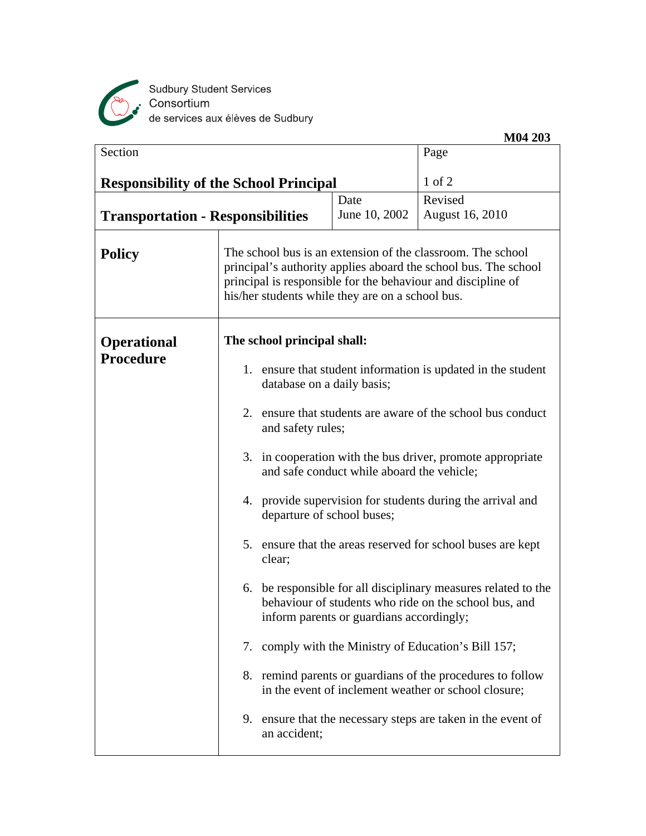

Sudbury Student Services<br>Consortium<br>de services aux élèves de Sudbury

|                                          |                                                                                                                                                                                                                                                    |                                                                                          | M04 203                                                                                                                 |  |
|------------------------------------------|----------------------------------------------------------------------------------------------------------------------------------------------------------------------------------------------------------------------------------------------------|------------------------------------------------------------------------------------------|-------------------------------------------------------------------------------------------------------------------------|--|
| Section                                  |                                                                                                                                                                                                                                                    |                                                                                          | Page                                                                                                                    |  |
|                                          | <b>Responsibility of the School Principal</b>                                                                                                                                                                                                      |                                                                                          | $1$ of $2$                                                                                                              |  |
|                                          |                                                                                                                                                                                                                                                    | Date                                                                                     | Revised                                                                                                                 |  |
| <b>Transportation - Responsibilities</b> |                                                                                                                                                                                                                                                    | June 10, 2002                                                                            | <b>August 16, 2010</b>                                                                                                  |  |
| <b>Policy</b>                            | The school bus is an extension of the classroom. The school<br>principal's authority applies aboard the school bus. The school<br>principal is responsible for the behaviour and discipline of<br>his/her students while they are on a school bus. |                                                                                          |                                                                                                                         |  |
| <b>Operational</b>                       | The school principal shall:                                                                                                                                                                                                                        |                                                                                          |                                                                                                                         |  |
| Procedure                                | 1. ensure that student information is updated in the student<br>database on a daily basis;                                                                                                                                                         |                                                                                          |                                                                                                                         |  |
|                                          | 2. ensure that students are aware of the school bus conduct<br>and safety rules;                                                                                                                                                                   |                                                                                          |                                                                                                                         |  |
|                                          | 3. in cooperation with the bus driver, promote appropriate<br>and safe conduct while aboard the vehicle;                                                                                                                                           |                                                                                          |                                                                                                                         |  |
|                                          |                                                                                                                                                                                                                                                    | 4. provide supervision for students during the arrival and<br>departure of school buses; |                                                                                                                         |  |
|                                          | clear;                                                                                                                                                                                                                                             | 5. ensure that the areas reserved for school buses are kept                              |                                                                                                                         |  |
|                                          |                                                                                                                                                                                                                                                    | inform parents or guardians accordingly;                                                 | 6. be responsible for all disciplinary measures related to the<br>behaviour of students who ride on the school bus, and |  |
|                                          |                                                                                                                                                                                                                                                    |                                                                                          | 7. comply with the Ministry of Education's Bill 157;                                                                    |  |
|                                          |                                                                                                                                                                                                                                                    |                                                                                          | 8. remind parents or guardians of the procedures to follow<br>in the event of inclement weather or school closure;      |  |
|                                          | an accident;                                                                                                                                                                                                                                       |                                                                                          | 9. ensure that the necessary steps are taken in the event of                                                            |  |